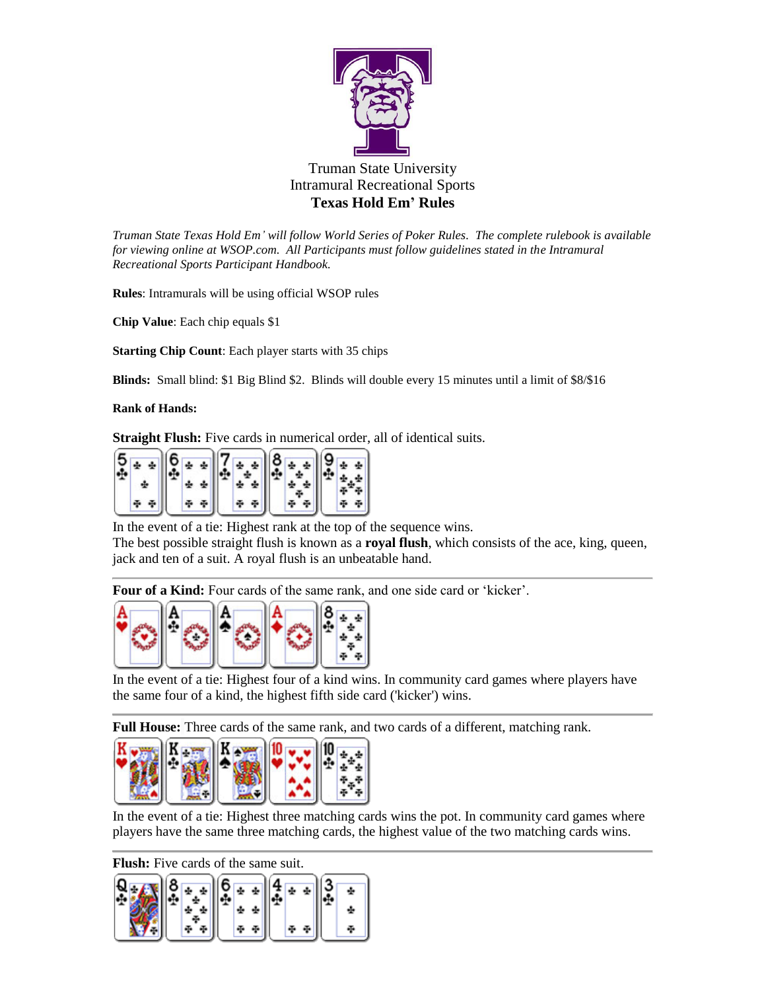

*Truman State Texas Hold Em' will follow World Series of Poker Rules. The complete rulebook is available for viewing online at WSOP.com. All Participants must follow guidelines stated in the Intramural Recreational Sports Participant Handbook.*

**Rules**: Intramurals will be using official WSOP rules

**Chip Value**: Each chip equals \$1

**Starting Chip Count**: Each player starts with 35 chips

**Blinds:** Small blind: \$1 Big Blind \$2. Blinds will double every 15 minutes until a limit of \$8/\$16

**Rank of Hands:**

**Straight Flush:** Five cards in numerical order, all of identical suits.

| $rac{5}{4}$<br>÷ | $\frac{6}{4}$ |  |  |
|------------------|---------------|--|--|
|                  | ÷             |  |  |
|                  | ÷             |  |  |

In the event of a tie: Highest rank at the top of the sequence wins.

The best possible straight flush is known as a **royal flush**, which consists of the ace, king, queen, jack and ten of a suit. A royal flush is an unbeatable hand.

**Four of a Kind:** Four cards of the same rank, and one side card or 'kicker'.



In the event of a tie: Highest four of a kind wins. In community card games where players have the same four of a kind, the highest fifth side card ('kicker') wins.

**Full House:** Three cards of the same rank, and two cards of a different, matching rank.



In the event of a tie: Highest three matching cards wins the pot. In community card games where players have the same three matching cards, the highest value of the two matching cards wins.

**Flush:** Five cards of the same suit.